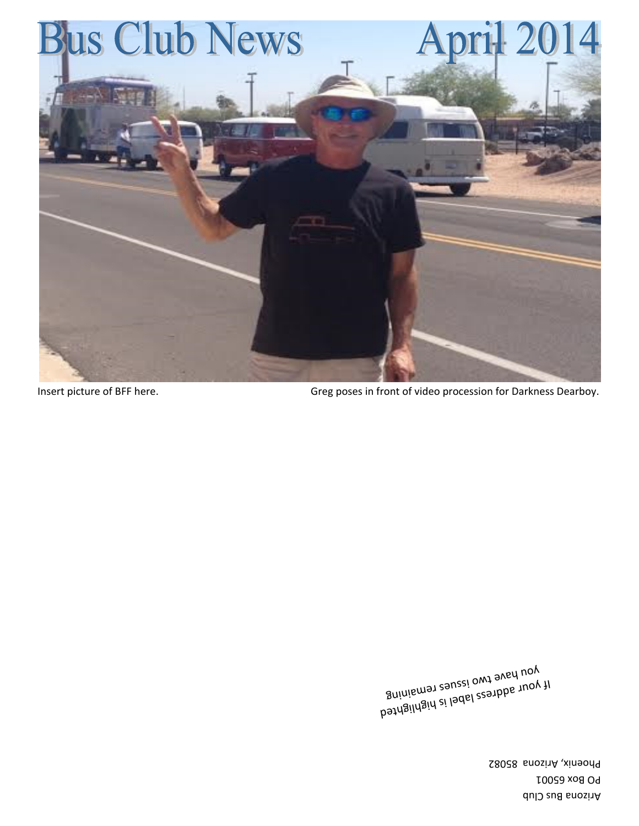Arizona Bus Club **PO Box 65001** Phoenix, Arizona 85082

bathgildgid ai laddl aeanbba tuoy ti<br>B<sup>a</sup>inismat agusei <sub>owt a</sub> you have two issues remaining  $v_{\rm M}$ si 1998) s $^{55}$ 

Insert picture of BFF here. Greg poses in front of video procession for Darkness Dearboy.

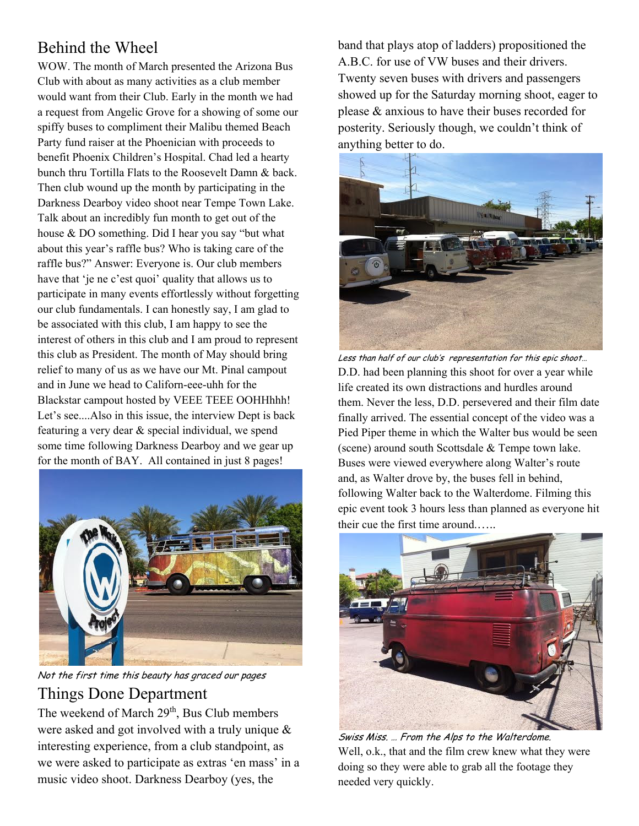# Behind the Wheel

WOW. The month of March presented the Arizona Bus Club with about as many activities as a club member would want from their Club. Early in the month we had a request from Angelic Grove for a showing of some our spiffy buses to compliment their Malibu themed Beach Party fund raiser at the Phoenician with proceeds to benefit Phoenix Children's Hospital. Chad led a hearty bunch thru Tortilla Flats to the Roosevelt Damn & back. Then club wound up the month by participating in the Darkness Dearboy video shoot near Tempe Town Lake. Talk about an incredibly fun month to get out of the house & DO something. Did I hear you say "but what about this year's raffle bus? Who is taking care of the raffle bus?" Answer: Everyone is. Our club members have that 'je ne c'est quoi' quality that allows us to participate in many events effortlessly without forgetting our club fundamentals. I can honestly say, I am glad to be associated with this club, I am happy to see the interest of others in this club and I am proud to represent this club as President. The month of May should bring relief to many of us as we have our Mt. Pinal campout and in June we head to Californ-eee-uhh for the Blackstar campout hosted by VEEE TEEE OOHHhhh! Let's see....Also in this issue, the interview Dept is back featuring a very dear & special individual, we spend some time following Darkness Dearboy and we gear up for the month of BAY. All contained in just 8 pages!



Not the first time this beauty has graced our pages Things Done Department

The weekend of March 29<sup>th</sup>, Bus Club members were asked and got involved with a truly unique & interesting experience, from a club standpoint, as we were asked to participate as extras 'en mass' in a music video shoot. Darkness Dearboy (yes, the

band that plays atop of ladders) propositioned the A.B.C. for use of VW buses and their drivers. Twenty seven buses with drivers and passengers showed up for the Saturday morning shoot, eager to please & anxious to have their buses recorded for posterity. Seriously though, we couldn't think of anything better to do.



Less than half of our club's representation for this epic shoot… D.D. had been planning this shoot for over a year while life created its own distractions and hurdles around them. Never the less, D.D. persevered and their film date finally arrived. The essential concept of the video was a Pied Piper theme in which the Walter bus would be seen (scene) around south Scottsdale & Tempe town lake. Buses were viewed everywhere along Walter's route and, as Walter drove by, the buses fell in behind, following Walter back to the Walterdome. Filming this epic event took 3 hours less than planned as everyone hit their cue the first time around.…..



Swiss Miss. … From the Alps to the Walterdome. Well, o.k., that and the film crew knew what they were doing so they were able to grab all the footage they needed very quickly.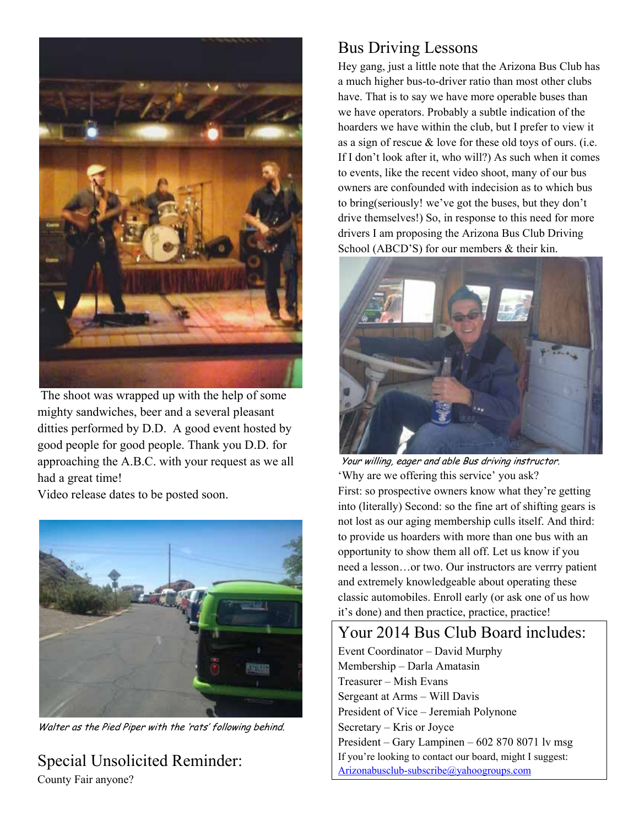

 The shoot was wrapped up with the help of some mighty sandwiches, beer and a several pleasant ditties performed by D.D. A good event hosted by good people for good people. Thank you D.D. for approaching the A.B.C. with your request as we all had a great time!

Video release dates to be posted soon.



Walter as the Pied Piper with the 'rats' following behind.

Special Unsolicited Reminder: County Fair anyone?

# Bus Driving Lessons

Hey gang, just a little note that the Arizona Bus Club has a much higher bus-to-driver ratio than most other clubs have. That is to say we have more operable buses than we have operators. Probably a subtle indication of the hoarders we have within the club, but I prefer to view it as a sign of rescue & love for these old toys of ours. (i.e. If I don't look after it, who will?) As such when it comes to events, like the recent video shoot, many of our bus owners are confounded with indecision as to which bus to bring(seriously! we've got the buses, but they don't drive themselves!) So, in response to this need for more drivers I am proposing the Arizona Bus Club Driving School (ABCD'S) for our members & their kin.



 Your willing, eager and able Bus driving instructor. 'Why are we offering this service' you ask? First: so prospective owners know what they're getting into (literally) Second: so the fine art of shifting gears is not lost as our aging membership culls itself. And third: to provide us hoarders with more than one bus with an opportunity to show them all off. Let us know if you need a lesson…or two. Our instructors are verrry patient and extremely knowledgeable about operating these classic automobiles. Enroll early (or ask one of us how it's done) and then practice, practice, practice!

# Your 2014 Bus Club Board includes:

Event Coordinator – David Murphy Membership – Darla Amatasin Treasurer – Mish Evans Sergeant at Arms – Will Davis President of Vice – Jeremiah Polynone Secretary – Kris or Joyce President – Gary Lampinen – 602 870 8071 lv msg If you're looking to contact our board, might I suggest: Arizonabusclub-subscribe@yahoogroups.com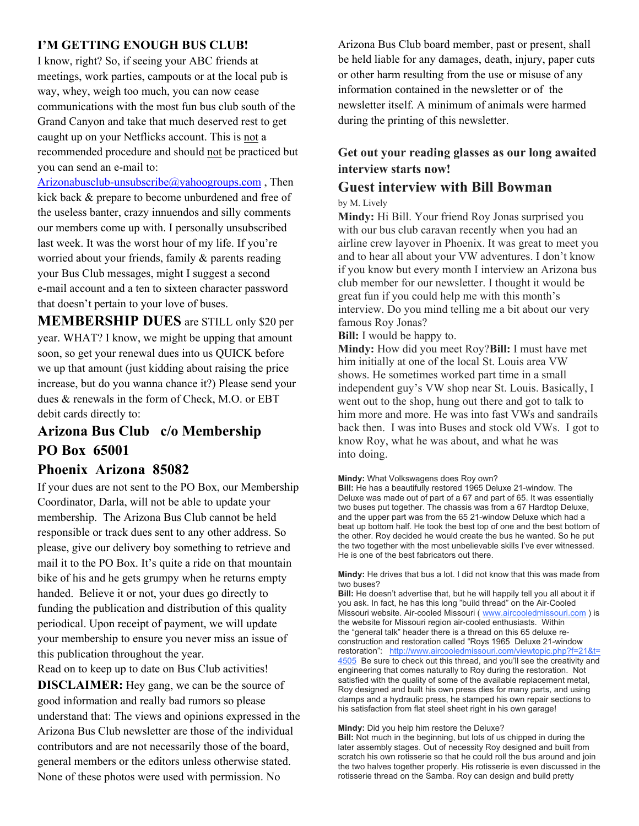#### **I'M GETTING ENOUGH BUS CLUB!**

I know, right? So, if seeing your ABC friends at meetings, work parties, campouts or at the local pub is way, whey, weigh too much, you can now cease communications with the most fun bus club south of the Grand Canyon and take that much deserved rest to get caught up on your Netflicks account. This is not a recommended procedure and should not be practiced but you can send an e-mail to:

Arizonabusclub-unsubscribe@yahoogroups.com , Then kick back & prepare to become unburdened and free of the useless banter, crazy innuendos and silly comments our members come up with. I personally unsubscribed last week. It was the worst hour of my life. If you're worried about your friends, family & parents reading your Bus Club messages, might I suggest a second e-mail account and a ten to sixteen character password that doesn't pertain to your love of buses.

**MEMBERSHIP DUES** are STILL only \$20 per year. WHAT? I know, we might be upping that amount soon, so get your renewal dues into us QUICK before we up that amount (just kidding about raising the price increase, but do you wanna chance it?) Please send your dues & renewals in the form of Check, M.O. or EBT debit cards directly to:

### **Arizona Bus Club c/o Membership PO Box 65001**

#### **Phoenix Arizona 85082**

If your dues are not sent to the PO Box, our Membership Coordinator, Darla, will not be able to update your membership. The Arizona Bus Club cannot be held responsible or track dues sent to any other address. So please, give our delivery boy something to retrieve and mail it to the PO Box. It's quite a ride on that mountain bike of his and he gets grumpy when he returns empty handed. Believe it or not, your dues go directly to funding the publication and distribution of this quality periodical. Upon receipt of payment, we will update your membership to ensure you never miss an issue of this publication throughout the year.

Read on to keep up to date on Bus Club activities! **DISCLAIMER:** Hey gang, we can be the source of good information and really bad rumors so please understand that: The views and opinions expressed in the Arizona Bus Club newsletter are those of the individual contributors and are not necessarily those of the board, general members or the editors unless otherwise stated. None of these photos were used with permission. No

Arizona Bus Club board member, past or present, shall be held liable for any damages, death, injury, paper cuts or other harm resulting from the use or misuse of any information contained in the newsletter or of the newsletter itself. A minimum of animals were harmed during the printing of this newsletter.

#### **Get out your reading glasses as our long awaited interview starts now!**

# **Guest interview with Bill Bowman** by M. Lively

**Mindy:** Hi Bill. Your friend Roy Jonas surprised you with our bus club caravan recently when you had an airline crew layover in Phoenix. It was great to meet you and to hear all about your VW adventures. I don't know if you know but every month I interview an Arizona bus club member for our newsletter. I thought it would be great fun if you could help me with this month's interview. Do you mind telling me a bit about our very famous Roy Jonas?

**Bill:** I would be happy to.

**Mindy:** How did you meet Roy?**Bill:** I must have met him initially at one of the local St. Louis area VW shows. He sometimes worked part time in a small independent guy's VW shop near St. Louis. Basically, I went out to the shop, hung out there and got to talk to him more and more. He was into fast VWs and sandrails back then. I was into Buses and stock old VWs. I got to know Roy, what he was about, and what he was into doing.

#### **Mindy:** What Volkswagens does Roy own?

Bill: He has a beautifully restored 1965 Deluxe 21-window. The Deluxe was made out of part of a 67 and part of 65. It was essentially two buses put together. The chassis was from a 67 Hardtop Deluxe, and the upper part was from the 65 21-window Deluxe which had a beat up bottom half. He took the best top of one and the best bottom of the other. Roy decided he would create the bus he wanted. So he put the two together with the most unbelievable skills I've ever witnessed. He is one of the best fabricators out there.

Mindy: He drives that bus a lot. I did not know that this was made from two buses?

**Bill:** He doesn't advertise that, but he will happily tell you all about it if you ask. In fact, he has this long "build thread" on the Air-Cooled Missouri website. Air-cooled Missouri ( www.aircooledmissouri.com ) is the website for Missouri region air-cooled enthusiasts. Within the "general talk" header there is a thread on this 65 deluxe reconstruction and restoration called "Roys 1965 Deluxe 21-window restoration": http://www.aircooledmissouri.com/viewtopic.php?f=21&t= 4505 Be sure to check out this thread, and you'll see the creativity and engineering that comes naturally to Roy during the restoration. Not satisfied with the quality of some of the available replacement metal, Roy designed and built his own press dies for many parts, and using clamps and a hydraulic press, he stamped his own repair sections to his satisfaction from flat steel sheet right in his own garage!

#### **Mindy:** Did you help him restore the Deluxe?

**Bill:** Not much in the beginning, but lots of us chipped in during the later assembly stages. Out of necessity Roy designed and built from scratch his own rotisserie so that he could roll the bus around and join the two halves together properly. His rotisserie is even discussed in the rotisserie thread on the Samba. Roy can design and build pretty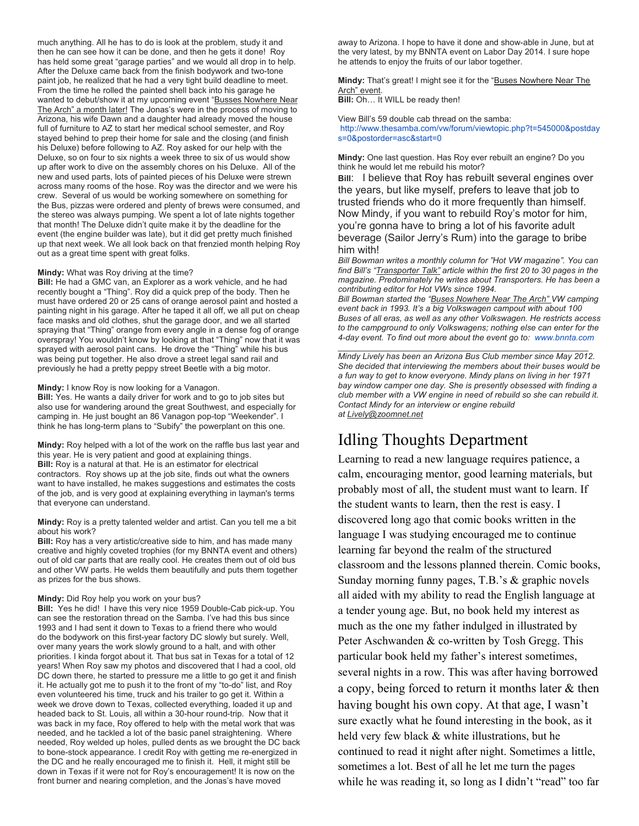much anything. All he has to do is look at the problem, study it and then he can see how it can be done, and then he gets it done! Roy has held some great "garage parties" and we would all drop in to help. After the Deluxe came back from the finish bodywork and two-tone paint job, he realized that he had a very tight build deadline to meet. From the time he rolled the painted shell back into his garage he wanted to debut/show it at my upcoming event "Busses Nowhere Near The Arch" a month later! The Jonas's were in the process of moving to Arizona, his wife Dawn and a daughter had already moved the house full of furniture to AZ to start her medical school semester, and Roy stayed behind to prep their home for sale and the closing (and finish his Deluxe) before following to AZ. Roy asked for our help with the Deluxe, so on four to six nights a week three to six of us would show up after work to dive on the assembly chores on his Deluxe. All of the new and used parts, lots of painted pieces of his Deluxe were strewn across many rooms of the hose. Roy was the director and we were his crew. Several of us would be working somewhere on something for the Bus, pizzas were ordered and plenty of brews were consumed, and the stereo was always pumping. We spent a lot of late nights together that month! The Deluxe didn't quite make it by the deadline for the event (the engine builder was late), but it did get pretty much finished up that next week. We all look back on that frenzied month helping Roy out as a great time spent with great folks.

#### **Mindy:** What was Roy driving at the time?

Bill: He had a GMC van, an Explorer as a work vehicle, and he had recently bought a "Thing". Roy did a quick prep of the body. Then he must have ordered 20 or 25 cans of orange aerosol paint and hosted a painting night in his garage. After he taped it all off, we all put on cheap face masks and old clothes, shut the garage door, and we all started spraying that "Thing" orange from every angle in a dense fog of orange overspray! You wouldn't know by looking at that "Thing" now that it was sprayed with aerosol paint cans. He drove the "Thing" while his bus was being put together. He also drove a street legal sand rail and previously he had a pretty peppy street Beetle with a big motor.

#### **Mindy:** I know Roy is now looking for a Vanagon.

**Bill:** Yes. He wants a daily driver for work and to go to job sites but also use for wandering around the great Southwest, and especially for camping in. He just bought an 86 Vanagon pop-top "Weekender". I think he has long-term plans to "Subify" the powerplant on this one.

Mindy: Roy helped with a lot of the work on the raffle bus last year and this year. He is very patient and good at explaining things. **Bill:** Roy is a natural at that. He is an estimator for electrical contractors. Roy shows up at the job site, finds out what the owners want to have installed, he makes suggestions and estimates the costs of the job, and is very good at explaining everything in layman's terms that everyone can understand.

#### Mindy: Roy is a pretty talented welder and artist. Can you tell me a bit about his work?

**Bill:** Roy has a very artistic/creative side to him, and has made many creative and highly coveted trophies (for my BNNTA event and others) out of old car parts that are really cool. He creates them out of old bus and other VW parts. He welds them beautifully and puts them together as prizes for the bus shows.

#### **Mindy:** Did Roy help you work on your bus?

Bill: Yes he did! I have this very nice 1959 Double-Cab pick-up. You can see the restoration thread on the Samba. I've had this bus since 1993 and I had sent it down to Texas to a friend there who would do the bodywork on this first-year factory DC slowly but surely. Well, over many years the work slowly ground to a halt, and with other priorities. I kinda forgot about it. That bus sat in Texas for a total of 12 years! When Roy saw my photos and discovered that I had a cool, old DC down there, he started to pressure me a little to go get it and finish it. He actually got me to push it to the front of my "to-do" list, and Roy even volunteered his time, truck and his trailer to go get it. Within a week we drove down to Texas, collected everything, loaded it up and headed back to St. Louis, all within a 30-hour round-trip. Now that it was back in my face, Roy offered to help with the metal work that was needed, and he tackled a lot of the basic panel straightening. Where needed, Roy welded up holes, pulled dents as we brought the DC back to bone-stock appearance. I credit Roy with getting me re-energized in the DC and he really encouraged me to finish it. Hell, it might still be down in Texas if it were not for Roy's encouragement! It is now on the front burner and nearing completion, and the Jonas's have moved

away to Arizona. I hope to have it done and show-able in June, but at the very latest, by my BNNTA event on Labor Day 2014. I sure hope he attends to enjoy the fruits of our labor together.

Mindy: That's great! I might see it for the "Buses Nowhere Near The Arch" event.

**Bill:** Oh... It WILL be ready then!

View Bill's 59 double cab thread on the samba: http://www.thesamba.com/vw/forum/viewtopic.php?t=545000&postday s=0&postorder=asc&start=0

Mindy: One last question. Has Roy ever rebuilt an engine? Do you think he would let me rebuild his motor?

Bill: I believe that Roy has rebuilt several engines over the years, but like myself, prefers to leave that job to trusted friends who do it more frequently than himself. Now Mindy, if you want to rebuild Roy's motor for him, you're gonna have to bring a lot of his favorite adult beverage (Sailor Jerry's Rum) into the garage to bribe him with!

*Bill Bowman writes a monthly column for "Hot VW magazine". You can find Bill's "Transporter Talk" article within the first 20 to 30 pages in the magazine. Predominately he writes about Transporters. He has been a contributing editor for Hot VWs since 1994.*

*Bill Bowman started the "Buses Nowhere Near The Arch" VW camping event back in 1993. It's a big Volkswagen campout with about 100 Buses of all eras, as well as any other Volkswagen. He restricts access to the campground to only Volkswagens; nothing else can enter for the 4-day event. To find out more about the event go to: www.bnnta.com*

 $\mathcal{L}_\text{max} = \mathcal{L}_\text{max} = \mathcal{L}_\text{max} = \mathcal{L}_\text{max} = \mathcal{L}_\text{max} = \mathcal{L}_\text{max} = \mathcal{L}_\text{max} = \mathcal{L}_\text{max} = \mathcal{L}_\text{max} = \mathcal{L}_\text{max} = \mathcal{L}_\text{max} = \mathcal{L}_\text{max} = \mathcal{L}_\text{max} = \mathcal{L}_\text{max} = \mathcal{L}_\text{max} = \mathcal{L}_\text{max} = \mathcal{L}_\text{max} = \mathcal{L}_\text{max} = \mathcal{$ 

*Mindy Lively has been an Arizona Bus Club member since May 2012. She decided that interviewing the members about their buses would be a fun way to get to know everyone. Mindy plans on living in her 1971 bay window camper one day. She is presently obsessed with finding a club member with a VW engine in need of rebuild so she can rebuild it. Contact Mindy for an interview or engine rebuild at Lively@zoomnet.net*

### Idling Thoughts Department

Learning to read a new language requires patience, a calm, encouraging mentor, good learning materials, but probably most of all, the student must want to learn. If the student wants to learn, then the rest is easy. I discovered long ago that comic books written in the language I was studying encouraged me to continue learning far beyond the realm of the structured classroom and the lessons planned therein. Comic books, Sunday morning funny pages, T.B.'s & graphic novels all aided with my ability to read the English language at a tender young age. But, no book held my interest as much as the one my father indulged in illustrated by Peter Aschwanden & co-written by Tosh Gregg. This particular book held my father's interest sometimes, several nights in a row. This was after having borrowed a copy, being forced to return it months later & then having bought his own copy. At that age, I wasn't sure exactly what he found interesting in the book, as it held very few black & white illustrations, but he continued to read it night after night. Sometimes a little, sometimes a lot. Best of all he let me turn the pages while he was reading it, so long as I didn't "read" too far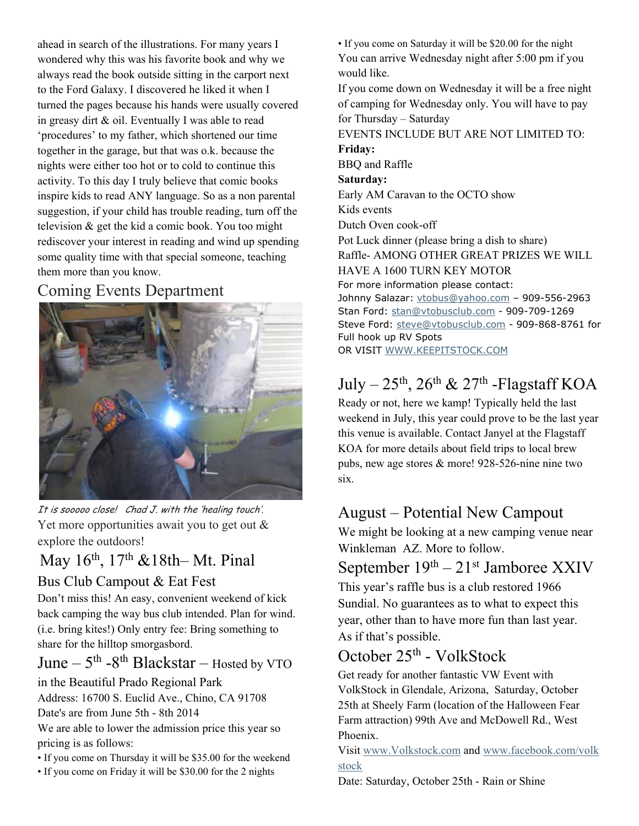ahead in search of the illustrations. For many years I wondered why this was his favorite book and why we always read the book outside sitting in the carport next to the Ford Galaxy. I discovered he liked it when I turned the pages because his hands were usually covered in greasy dirt & oil. Eventually I was able to read 'procedures' to my father, which shortened our time together in the garage, but that was o.k. because the nights were either too hot or to cold to continue this activity. To this day I truly believe that comic books inspire kids to read ANY language. So as a non parental suggestion, if your child has trouble reading, turn off the television & get the kid a comic book. You too might rediscover your interest in reading and wind up spending some quality time with that special someone, teaching them more than you know.

## Coming Events Department



It is sooooo close! Chad J. with the 'healing touch'. Yet more opportunities await you to get out  $\&$ explore the outdoors!

# May 16th, 17th &18th– Mt. Pinal Bus Club Campout & Eat Fest

Don't miss this! An easy, convenient weekend of kick back camping the way bus club intended. Plan for wind. (i.e. bring kites!) Only entry fee: Bring something to share for the hilltop smorgasbord.

June –  $5<sup>th</sup>$  -8<sup>th</sup> Blackstar – Hosted by VTO

### in the Beautiful Prado Regional Park

Address: 16700 S. Euclid Ave., Chino, CA 91708 Date's are from June 5th - 8th 2014

We are able to lower the admission price this year so pricing is as follows:

- If you come on Thursday it will be \$35.00 for the weekend
- If you come on Friday it will be \$30.00 for the 2 nights

• If you come on Saturday it will be \$20.00 for the night You can arrive Wednesday night after 5:00 pm if you would like.

If you come down on Wednesday it will be a free night of camping for Wednesday only. You will have to pay for Thursday – Saturday

EVENTS INCLUDE BUT ARE NOT LIMITED TO:

**Friday:** 

BBQ and Raffle

#### **Saturday:**

Early AM Caravan to the OCTO show Kids events Dutch Oven cook-off Pot Luck dinner (please bring a dish to share)

Raffle- AMONG OTHER GREAT PRIZES WE WILL HAVE A 1600 TURN KEY MOTOR

For more information please contact:

Johnny Salazar: vtobus@yahoo.com - 909-556-2963 Stan Ford: stan@vtobusclub.com - 909-709-1269 Steve Ford: steve@vtobusclub.com - 909-868-8761 for Full hook up RV Spots OR VISIT WWW.KEEPITSTOCK.COM

# July –  $25<sup>th</sup>$ ,  $26<sup>th</sup>$  &  $27<sup>th</sup>$  -Flagstaff KOA

Ready or not, here we kamp! Typically held the last weekend in July, this year could prove to be the last year this venue is available. Contact Janyel at the Flagstaff KOA for more details about field trips to local brew pubs, new age stores & more! 928-526-nine nine two six.

# August – Potential New Campout

We might be looking at a new camping venue near Winkleman AZ. More to follow.

# September  $19<sup>th</sup> - 21<sup>st</sup>$  Jamboree XXIV

This year's raffle bus is a club restored 1966 Sundial. No guarantees as to what to expect this year, other than to have more fun than last year. As if that's possible.

# October 25th - VolkStock

Get ready for another fantastic VW Event with VolkStock in Glendale, Arizona, Saturday, October 25th at Sheely Farm (location of the Halloween Fear Farm attraction) 99th Ave and McDowell Rd., West Phoenix.

Visit www.Volkstock.com and www.facebook.com/volk stock

Date: Saturday, October 25th - Rain or Shine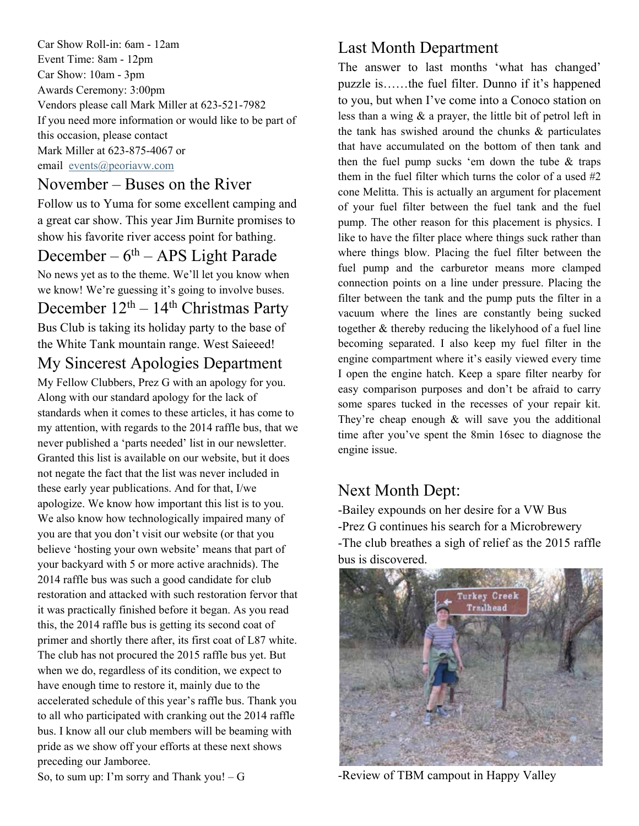Car Show Roll-in: 6am - 12am Event Time: 8am - 12pm Car Show: 10am - 3pm Awards Ceremony: 3:00pm Vendors please call Mark Miller at 623-521-7982 If you need more information or would like to be part of this occasion, please contact Mark Miller at 623-875-4067 or email events@peoriavw.com

### November – Buses on the River

Follow us to Yuma for some excellent camping and a great car show. This year Jim Burnite promises to show his favorite river access point for bathing.

## December –  $6<sup>th</sup>$  – APS Light Parade

No news yet as to the theme. We'll let you know when we know! We're guessing it's going to involve buses.

December  $12<sup>th</sup> - 14<sup>th</sup> Christmas Party$ Bus Club is taking its holiday party to the base of

the White Tank mountain range. West Saieeed!

# My Sincerest Apologies Department

My Fellow Clubbers, Prez G with an apology for you. Along with our standard apology for the lack of standards when it comes to these articles, it has come to my attention, with regards to the 2014 raffle bus, that we never published a 'parts needed' list in our newsletter. Granted this list is available on our website, but it does not negate the fact that the list was never included in these early year publications. And for that, I/we apologize. We know how important this list is to you. We also know how technologically impaired many of you are that you don't visit our website (or that you believe 'hosting your own website' means that part of your backyard with 5 or more active arachnids). The 2014 raffle bus was such a good candidate for club restoration and attacked with such restoration fervor that it was practically finished before it began. As you read this, the 2014 raffle bus is getting its second coat of primer and shortly there after, its first coat of L87 white. The club has not procured the 2015 raffle bus yet. But when we do, regardless of its condition, we expect to have enough time to restore it, mainly due to the accelerated schedule of this year's raffle bus. Thank you to all who participated with cranking out the 2014 raffle bus. I know all our club members will be beaming with pride as we show off your efforts at these next shows preceding our Jamboree.

### Last Month Department

The answer to last months 'what has changed' puzzle is……the fuel filter. Dunno if it's happened to you, but when I've come into a Conoco station on less than a wing & a prayer, the little bit of petrol left in the tank has swished around the chunks & particulates that have accumulated on the bottom of then tank and then the fuel pump sucks 'em down the tube & traps them in the fuel filter which turns the color of a used #2 cone Melitta. This is actually an argument for placement of your fuel filter between the fuel tank and the fuel pump. The other reason for this placement is physics. I like to have the filter place where things suck rather than where things blow. Placing the fuel filter between the fuel pump and the carburetor means more clamped connection points on a line under pressure. Placing the filter between the tank and the pump puts the filter in a vacuum where the lines are constantly being sucked together & thereby reducing the likelyhood of a fuel line becoming separated. I also keep my fuel filter in the engine compartment where it's easily viewed every time I open the engine hatch. Keep a spare filter nearby for easy comparison purposes and don't be afraid to carry some spares tucked in the recesses of your repair kit. They're cheap enough  $\&$  will save you the additional time after you've spent the 8min 16sec to diagnose the engine issue.

### Next Month Dept:

-Bailey expounds on her desire for a VW Bus -Prez G continues his search for a Microbrewery -The club breathes a sigh of relief as the 2015 raffle bus is discovered.



-Review of TBM campout in Happy Valley

So, to sum up: I'm sorry and Thank you!  $-G$